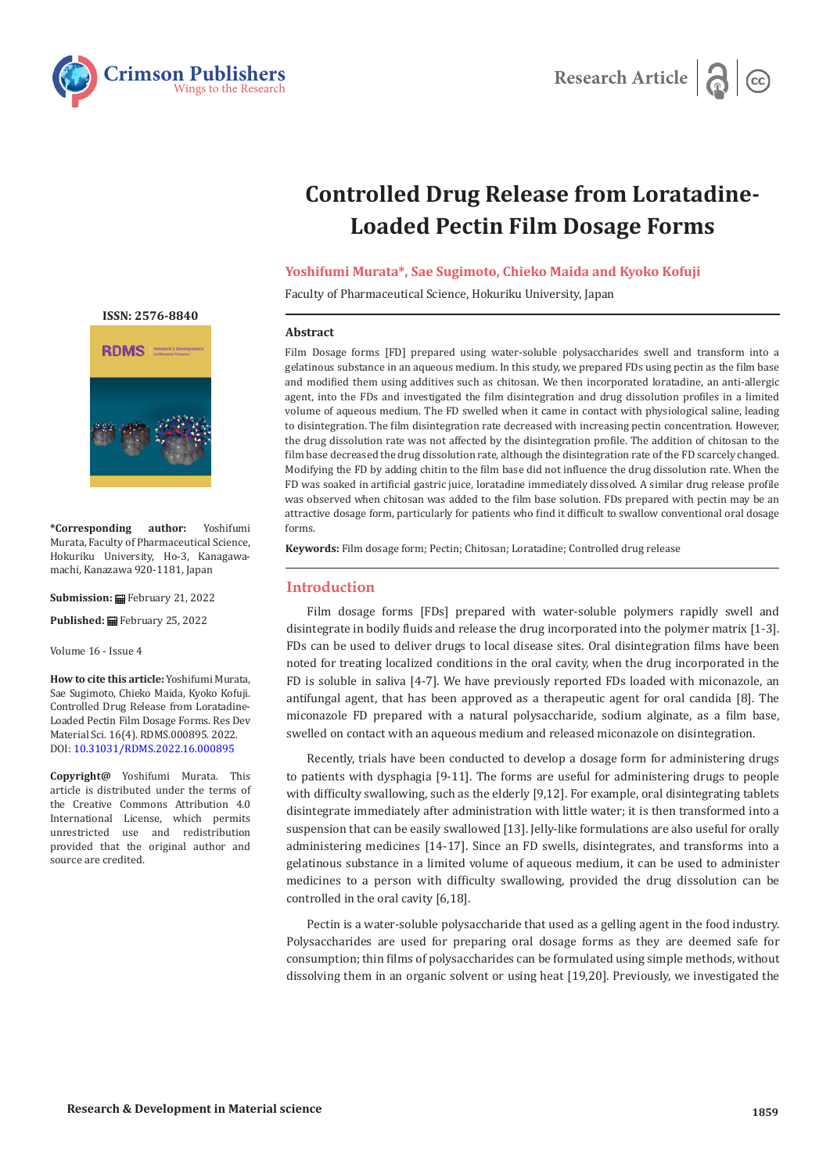



# **Controlled Drug Release from Loratadine-Loaded Pectin Film Dosage Forms**

# **Yoshifumi Murata\*, Sae Sugimoto, Chieko Maida and Kyoko Kofuji**

Faculty of Pharmaceutical Science, Hokuriku University, Japan

#### **Abstract**

Film Dosage forms [FD] prepared using water-soluble polysaccharides swell and transform into a gelatinous substance in an aqueous medium. In this study, we prepared FDs using pectin as the film base and modified them using additives such as chitosan. We then incorporated loratadine, an anti-allergic agent, into the FDs and investigated the film disintegration and drug dissolution profiles in a limited volume of aqueous medium. The FD swelled when it came in contact with physiological saline, leading to disintegration. The film disintegration rate decreased with increasing pectin concentration. However, the drug dissolution rate was not affected by the disintegration profile. The addition of chitosan to the film base decreased the drug dissolution rate, although the disintegration rate of the FD scarcely changed. Modifying the FD by adding chitin to the film base did not influence the drug dissolution rate. When the FD was soaked in artificial gastric juice, loratadine immediately dissolved. A similar drug release profile was observed when chitosan was added to the film base solution. FDs prepared with pectin may be an attractive dosage form, particularly for patients who find it difficult to swallow conventional oral dosage forms.

**Keywords:** Film dosage form; Pectin; Chitosan; Loratadine; Controlled drug release

## **Introduction**

Film dosage forms [FDs] prepared with water-soluble polymers rapidly swell and disintegrate in bodily fluids and release the drug incorporated into the polymer matrix [1-3]. FDs can be used to deliver drugs to local disease sites. Oral disintegration films have been noted for treating localized conditions in the oral cavity, when the drug incorporated in the FD is soluble in saliva [4-7]. We have previously reported FDs loaded with miconazole, an antifungal agent, that has been approved as a therapeutic agent for oral candida [8]. The miconazole FD prepared with a natural polysaccharide, sodium alginate, as a film base, swelled on contact with an aqueous medium and released miconazole on disintegration.

Recently, trials have been conducted to develop a dosage form for administering drugs to patients with dysphagia [9-11]. The forms are useful for administering drugs to people with difficulty swallowing, such as the elderly [9,12]. For example, oral disintegrating tablets disintegrate immediately after administration with little water; it is then transformed into a suspension that can be easily swallowed [13]. Jelly-like formulations are also useful for orally administering medicines [14-17]. Since an FD swells, disintegrates, and transforms into a gelatinous substance in a limited volume of aqueous medium, it can be used to administer medicines to a person with difficulty swallowing, provided the drug dissolution can be controlled in the oral cavity [6,18].

Pectin is a water-soluble polysaccharide that used as a gelling agent in the food industry. Polysaccharides are used for preparing oral dosage forms as they are deemed safe for consumption; thin films of polysaccharides can be formulated using simple methods, without dissolving them in an organic solvent or using heat [19,20]. Previously, we investigated the





**\*Corresponding author:** Yoshifumi Murata, Faculty of Pharmaceutical Science, Hokuriku University, Ho-3, Kanagawamachi, Kanazawa 920-1181, Japan

**Submission:** February 21, 2022

**Published:** February 25, 2022

Volume 16 - Issue 4

**How to cite this article:** Yoshifumi Murata, Sae Sugimoto, Chieko Maida, Kyoko Kofuji. Controlled Drug Release from Loratadine-Loaded Pectin Film Dosage Forms. Res Dev Material Sci. 16(4). RDMS.000895. 2022. DOI: [10.31031/RDMS.2022.16.000895](http://dx.doi.org/10.31031/RDMS.2022.16.000895)

**Copyright@** Yoshifumi Murata. This article is distributed under the terms of the Creative Commons Attribution 4.0 International License, which permits unrestricted use and redistribution provided that the original author and source are credited.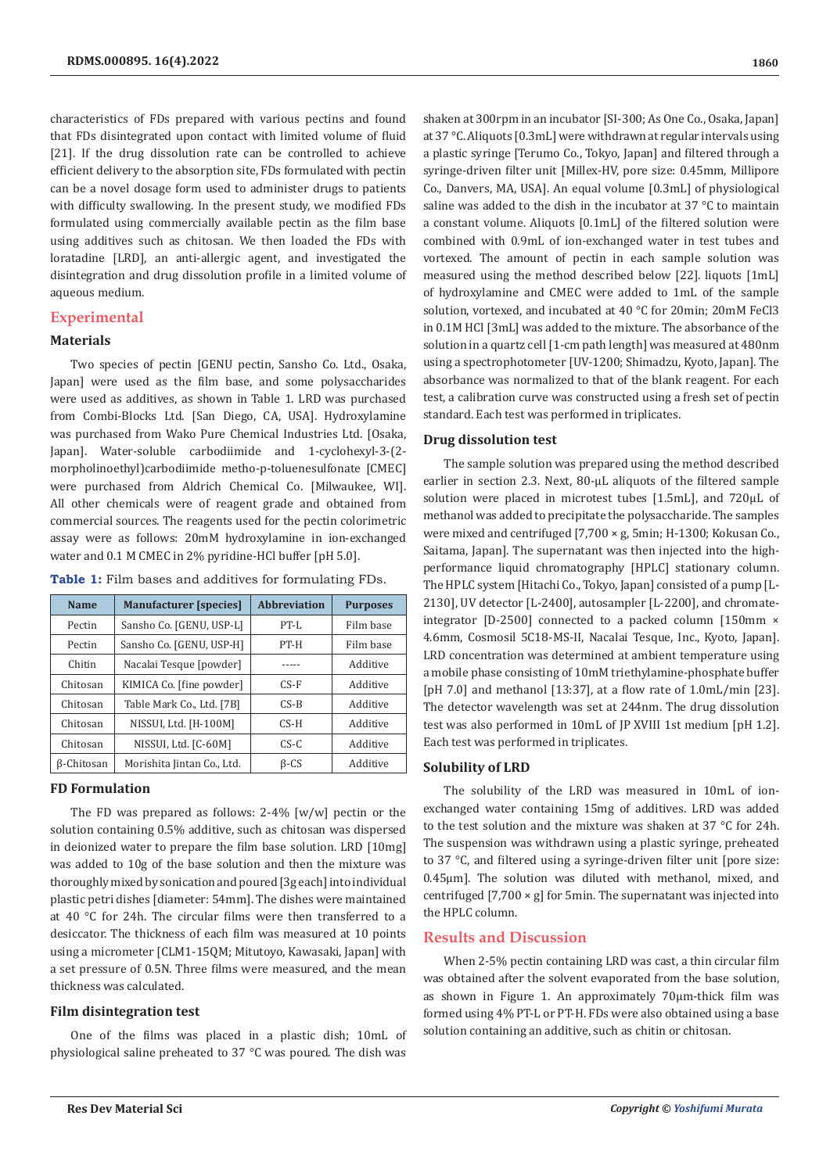characteristics of FDs prepared with various pectins and found that FDs disintegrated upon contact with limited volume of fluid [21]. If the drug dissolution rate can be controlled to achieve efficient delivery to the absorption site, FDs formulated with pectin can be a novel dosage form used to administer drugs to patients with difficulty swallowing. In the present study, we modified FDs formulated using commercially available pectin as the film base using additives such as chitosan. We then loaded the FDs with loratadine [LRD], an anti-allergic agent, and investigated the disintegration and drug dissolution profile in a limited volume of aqueous medium.

# **Experimental**

# **Materials**

Two species of pectin [GENU pectin, Sansho Co. Ltd., Osaka, Japan] were used as the film base, and some polysaccharides were used as additives, as shown in Table 1. LRD was purchased from Combi-Blocks Ltd. [San Diego, CA, USA]. Hydroxylamine was purchased from Wako Pure Chemical Industries Ltd. [Osaka, Japan]. Water-soluble carbodiimide and 1-cyclohexyl-3-(2 morpholinoethyl)carbodiimide metho-p-toluenesulfonate [CMEC] were purchased from Aldrich Chemical Co. [Milwaukee, WI]. All other chemicals were of reagent grade and obtained from commercial sources. The reagents used for the pectin colorimetric assay were as follows: 20mM hydroxylamine in ion-exchanged water and 0.1 M CMEC in 2% pyridine-HCl buffer [pH 5.0].

|  |  |  |  |  |  |  | Table 1: Film bases and additives for formulating FDs. |  |
|--|--|--|--|--|--|--|--------------------------------------------------------|--|
|--|--|--|--|--|--|--|--------------------------------------------------------|--|

| <b>Name</b>                                     | <b>Manufacturer</b> [species] | <b>Abbreviation</b> | <b>Purposes</b> |  |
|-------------------------------------------------|-------------------------------|---------------------|-----------------|--|
| Pectin                                          | Sansho Co. [GENU, USP-L]      | $PT-I.$             | Film base       |  |
| Pectin                                          | Sansho Co. [GENU, USP-H]      | PT-H                | Film base       |  |
| Chitin                                          | Nacalai Tesque [powder]       |                     | Additive        |  |
| Chitosan                                        | KIMICA Co. [fine powder]      | $CS-F$              | Additive        |  |
| Chitosan                                        | Table Mark Co., Ltd. [7B]     | $CS-B$              | Additive        |  |
| Chitosan                                        | NISSUI, Ltd. [H-100M]         | $CS-H$              | Additive        |  |
| Chitosan                                        | NISSUI, Ltd. [C-60M]          | CS-C                | Additive        |  |
| Morishita Jintan Co., Ltd.<br><b>B-Chitosan</b> |                               | $\beta$ -CS         | Additive        |  |

# **FD Formulation**

The FD was prepared as follows: 2-4% [w/w] pectin or the solution containing 0.5% additive, such as chitosan was dispersed in deionized water to prepare the film base solution. LRD [10mg] was added to 10g of the base solution and then the mixture was thoroughly mixed by sonication and poured [3g each] into individual plastic petri dishes [diameter: 54mm]. The dishes were maintained at 40 °C for 24h. The circular films were then transferred to a desiccator. The thickness of each film was measured at 10 points using a micrometer [CLM1-15QM; Mitutoyo, Kawasaki, Japan] with a set pressure of 0.5N. Three films were measured, and the mean thickness was calculated.

## **Film disintegration test**

One of the films was placed in a plastic dish; 10mL of physiological saline preheated to 37 °C was poured. The dish was

shaken at 300rpm in an incubator [SI-300; As One Co., Osaka, Japan] at 37 °C. Aliquots [0.3mL] were withdrawn at regular intervals using a plastic syringe [Terumo Co., Tokyo, Japan] and filtered through a syringe-driven filter unit [Millex-HV, pore size: 0.45mm, Millipore Co., Danvers, MA, USA]. An equal volume [0.3mL] of physiological saline was added to the dish in the incubator at 37 °C to maintain a constant volume. Aliquots [0.1mL] of the filtered solution were combined with 0.9mL of ion-exchanged water in test tubes and vortexed. The amount of pectin in each sample solution was measured using the method described below [22]. liquots [1mL] of hydroxylamine and CMEC were added to 1mL of the sample solution, vortexed, and incubated at 40 °C for 20min; 20mM FeCl3 in 0.1M HCl [3mL] was added to the mixture. The absorbance of the solution in a quartz cell [1-cm path length] was measured at 480nm using a spectrophotometer [UV-1200; Shimadzu, Kyoto, Japan]. The absorbance was normalized to that of the blank reagent. For each test, a calibration curve was constructed using a fresh set of pectin standard. Each test was performed in triplicates.

## **Drug dissolution test**

The sample solution was prepared using the method described earlier in section 2.3. Next, 80-µL aliquots of the filtered sample solution were placed in microtest tubes [1.5mL], and 720µL of methanol was added to precipitate the polysaccharide. The samples were mixed and centrifuged [7,700 × g, 5min; H-1300; Kokusan Co., Saitama, Japan]. The supernatant was then injected into the highperformance liquid chromatography [HPLC] stationary column. The HPLC system [Hitachi Co., Tokyo, Japan] consisted of a pump [L-2130], UV detector [L-2400], autosampler [L-2200], and chromateintegrator [D-2500] connected to a packed column [150mm × 4.6mm, Cosmosil 5C18-MS-II, Nacalai Tesque, Inc., Kyoto, Japan]. LRD concentration was determined at ambient temperature using a mobile phase consisting of 10mM triethylamine-phosphate buffer [pH 7.0] and methanol [13:37], at a flow rate of 1.0mL/min [23]. The detector wavelength was set at 244nm. The drug dissolution test was also performed in 10mL of JP XVIII 1st medium [pH 1.2]. Each test was performed in triplicates.

#### **Solubility of LRD**

The solubility of the LRD was measured in 10mL of ionexchanged water containing 15mg of additives. LRD was added to the test solution and the mixture was shaken at 37 °C for 24h. The suspension was withdrawn using a plastic syringe, preheated to 37 °C, and filtered using a syringe-driven filter unit [pore size: 0.45µm]. The solution was diluted with methanol, mixed, and centrifuged [7,700 × g] for 5min. The supernatant was injected into the HPLC column.

# **Results and Discussion**

When 2-5% pectin containing LRD was cast, a thin circular film was obtained after the solvent evaporated from the base solution, as shown in Figure 1. An approximately 70μm-thick film was formed using 4% PT-L or PT-H. FDs were also obtained using a base solution containing an additive, such as chitin or chitosan.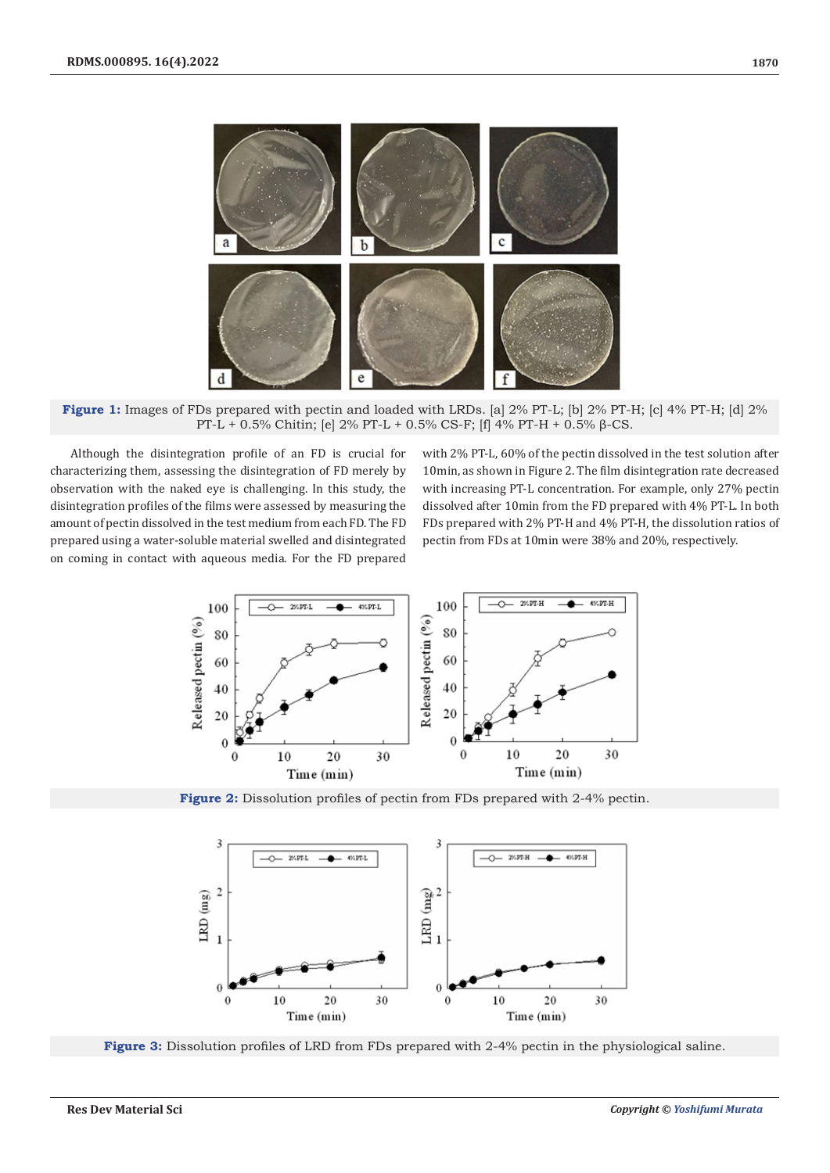

**Figure 1:** Images of FDs prepared with pectin and loaded with LRDs. [a] 2% PT-L; [b] 2% PT-H; [c] 4% PT-H; [d] 2% PT-L + 0.5% Chitin; [e] 2% PT-L + 0.5% CS-F; [f] 4% PT-H + 0.5% β-CS.

Although the disintegration profile of an FD is crucial for characterizing them, assessing the disintegration of FD merely by observation with the naked eye is challenging. In this study, the disintegration profiles of the films were assessed by measuring the amount of pectin dissolved in the test medium from each FD. The FD prepared using a water-soluble material swelled and disintegrated on coming in contact with aqueous media. For the FD prepared

with 2% PT-L, 60% of the pectin dissolved in the test solution after 10min, as shown in Figure 2. The film disintegration rate decreased with increasing PT-L concentration. For example, only 27% pectin dissolved after 10min from the FD prepared with 4% PT-L. In both FDs prepared with 2% PT-H and 4% PT-H, the dissolution ratios of pectin from FDs at 10min were 38% and 20%, respectively.



**Figure 2:** Dissolution profiles of pectin from FDs prepared with 2-4% pectin.



**Figure 3:** Dissolution profiles of LRD from FDs prepared with 2-4% pectin in the physiological saline.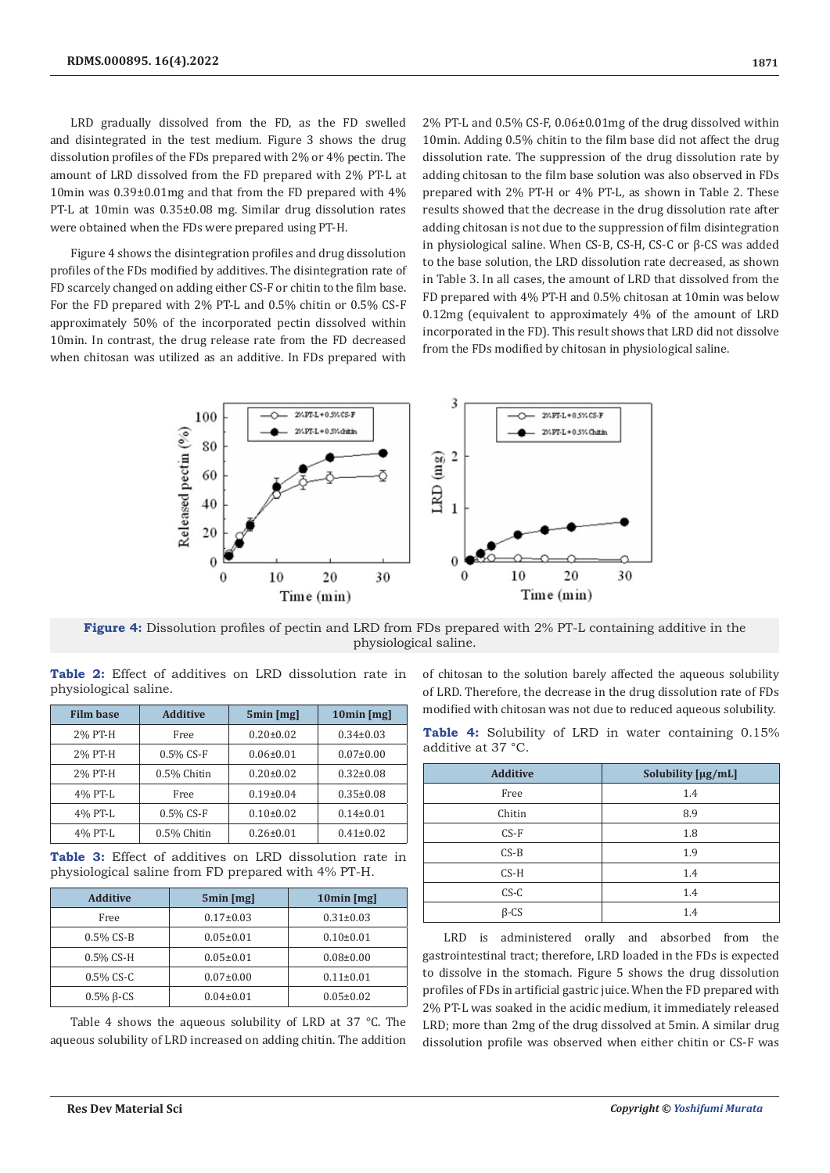LRD gradually dissolved from the FD, as the FD swelled and disintegrated in the test medium. Figure 3 shows the drug dissolution profiles of the FDs prepared with 2% or 4% pectin. The amount of LRD dissolved from the FD prepared with 2% PT-L at 10min was 0.39±0.01mg and that from the FD prepared with 4% PT-L at 10min was 0.35±0.08 mg. Similar drug dissolution rates were obtained when the FDs were prepared using PT-H.

Figure 4 shows the disintegration profiles and drug dissolution profiles of the FDs modified by additives. The disintegration rate of FD scarcely changed on adding either CS-F or chitin to the film base. For the FD prepared with 2% PT-L and 0.5% chitin or 0.5% CS-F approximately 50% of the incorporated pectin dissolved within 10min. In contrast, the drug release rate from the FD decreased when chitosan was utilized as an additive. In FDs prepared with

2% PT-L and 0.5% CS-F, 0.06±0.01mg of the drug dissolved within 10min. Adding 0.5% chitin to the film base did not affect the drug dissolution rate. The suppression of the drug dissolution rate by adding chitosan to the film base solution was also observed in FDs prepared with 2% PT-H or 4% PT-L, as shown in Table 2. These results showed that the decrease in the drug dissolution rate after adding chitosan is not due to the suppression of film disintegration in physiological saline. When CS-B, CS-H, CS-C or β-CS was added to the base solution, the LRD dissolution rate decreased, as shown in Table 3. In all cases, the amount of LRD that dissolved from the FD prepared with 4% PT-H and 0.5% chitosan at 10min was below 0.12mg (equivalent to approximately 4% of the amount of LRD incorporated in the FD). This result shows that LRD did not dissolve from the FDs modified by chitosan in physiological saline.



**Figure 4:** Dissolution profiles of pectin and LRD from FDs prepared with 2% PT-L containing additive in the physiological saline.

|  |                       |  |  | <b>Table 2:</b> Effect of additives on LRD dissolution rate in |  |
|--|-----------------------|--|--|----------------------------------------------------------------|--|
|  | physiological saline. |  |  |                                                                |  |

| <b>Film base</b> | <b>Additive</b> | 5min [mg]       | $10min$ [mg]    |  |  |
|------------------|-----------------|-----------------|-----------------|--|--|
| 2% PT-H          | Free            | $0.20 \pm 0.02$ | $0.34 \pm 0.03$ |  |  |
| 2% PT-H          | $0.5\%$ CS-F    | $0.06 \pm 0.01$ | $0.07 \pm 0.00$ |  |  |
| 2% PT-H          | 0.5% Chitin     | $0.20 \pm 0.02$ | $0.32 \pm 0.08$ |  |  |
| 4% PT-L          | Free            | $0.19 \pm 0.04$ | $0.35 \pm 0.08$ |  |  |
| 4% PT-L          | $0.5\%$ CS-F    | $0.10 \pm 0.02$ | $0.14 \pm 0.01$ |  |  |
| 4% PT-L          | 0.5% Chitin     | $0.26 \pm 0.01$ | $0.41 \pm 0.02$ |  |  |

**Table 3:** Effect of additives on LRD dissolution rate in physiological saline from FD prepared with 4% PT-H.

| <b>Additive</b> | 5min [mg]       | $10min$ [mg]    |  |  |
|-----------------|-----------------|-----------------|--|--|
| Free            | $0.17 \pm 0.03$ | $0.31 \pm 0.03$ |  |  |
| $0.5\%$ CS-B    | $0.05 \pm 0.01$ | $0.10\pm0.01$   |  |  |
| $0.5\%$ CS-H    | $0.05 \pm 0.01$ | $0.08 \pm 0.00$ |  |  |
| $0.5\%$ CS-C    | $0.07 \pm 0.00$ | $0.11 \pm 0.01$ |  |  |
| $0.5\%$ B-CS    | $0.04 \pm 0.01$ | $0.05 \pm 0.02$ |  |  |

Table 4 shows the aqueous solubility of LRD at 37 °C. The aqueous solubility of LRD increased on adding chitin. The addition of chitosan to the solution barely affected the aqueous solubility of LRD. Therefore, the decrease in the drug dissolution rate of FDs modified with chitosan was not due to reduced aqueous solubility.

|  |                    |  |  | <b>Table 4:</b> Solubility of LRD in water containing 0.15% |  |
|--|--------------------|--|--|-------------------------------------------------------------|--|
|  | additive at 37 °C. |  |  |                                                             |  |

| <b>Additive</b> | Solubility [µg/mL] |
|-----------------|--------------------|
| Free            | 1.4                |
| Chitin          | 8.9                |
| $CS-F$          | 1.8                |
| $CS-B$          | 1.9                |
| $CS-H$          | 1.4                |
| $CS-C$          | 1.4                |
| $\beta$ -CS     | 1.4                |

LRD is administered orally and absorbed from the gastrointestinal tract; therefore, LRD loaded in the FDs is expected to dissolve in the stomach. Figure 5 shows the drug dissolution profiles of FDs in artificial gastric juice. When the FD prepared with 2% PT-L was soaked in the acidic medium, it immediately released LRD; more than 2mg of the drug dissolved at 5min. A similar drug dissolution profile was observed when either chitin or CS-F was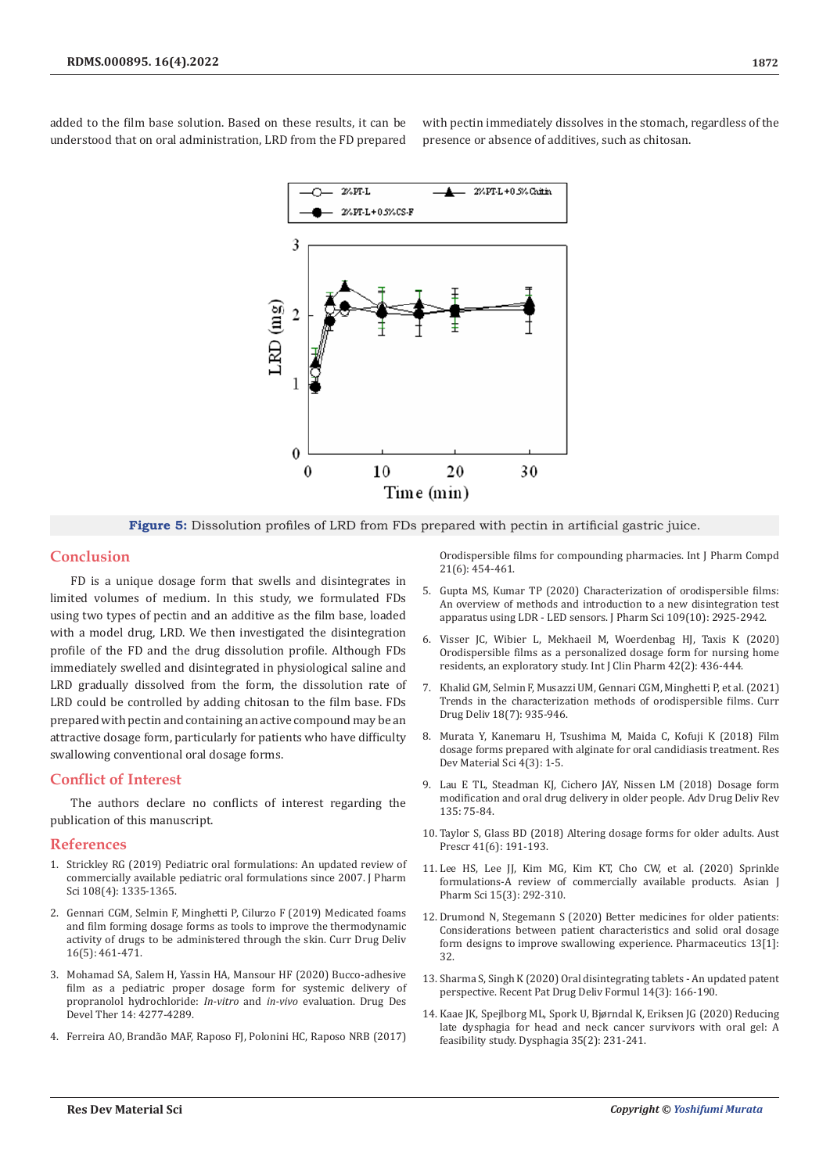added to the film base solution. Based on these results, it can be understood that on oral administration, LRD from the FD prepared

with pectin immediately dissolves in the stomach, regardless of the presence or absence of additives, such as chitosan.



**Figure 5:** Dissolution profiles of LRD from FDs prepared with pectin in artificial gastric juice.

### **Conclusion**

FD is a unique dosage form that swells and disintegrates in limited volumes of medium. In this study, we formulated FDs using two types of pectin and an additive as the film base, loaded with a model drug, LRD. We then investigated the disintegration profile of the FD and the drug dissolution profile. Although FDs immediately swelled and disintegrated in physiological saline and LRD gradually dissolved from the form, the dissolution rate of LRD could be controlled by adding chitosan to the film base. FDs prepared with pectin and containing an active compound may be an attractive dosage form, particularly for patients who have difficulty swallowing conventional oral dosage forms.

## **Conflict of Interest**

The authors declare no conflicts of interest regarding the publication of this manuscript.

#### **References**

- 1. [Strickley RG \(2019\) Pediatric oral formulations: An updated review of](https://pubmed.ncbi.nlm.nih.gov/30447227/)  [commercially available pediatric oral formulations since 2007. J Pharm](https://pubmed.ncbi.nlm.nih.gov/30447227/)  [Sci 108\(4\): 1335-1365.](https://pubmed.ncbi.nlm.nih.gov/30447227/)
- 2. [Gennari CGM, Selmin F, Minghetti P, Cilurzo F \(2019\) Medicated foams](https://pubmed.ncbi.nlm.nih.gov/30657040/)  [and film forming dosage forms as tools to improve the thermodynamic](https://pubmed.ncbi.nlm.nih.gov/30657040/)  [activity of drugs to be administered through the skin. Curr Drug Deliv](https://pubmed.ncbi.nlm.nih.gov/30657040/)  [16\(5\): 461-471.](https://pubmed.ncbi.nlm.nih.gov/30657040/)
- 3. [Mohamad SA, Salem H, Yassin HA, Mansour HF \(2020\) Bucco-adhesive](https://pubmed.ncbi.nlm.nih.gov/33116415/)  [film as a pediatric proper dosage form for systemic delivery of](https://pubmed.ncbi.nlm.nih.gov/33116415/)  [propranolol hydrochloride:](https://pubmed.ncbi.nlm.nih.gov/33116415/) *In-vitro* and *in-vivo* evaluation. Drug Des [Devel Ther 14: 4277-4289.](https://pubmed.ncbi.nlm.nih.gov/33116415/)
- 4. Ferreira AO, Brandã[o MAF, Raposo FJ, Polonini HC, Raposo NRB \(2017\)](https://pubmed.ncbi.nlm.nih.gov/29220334/)

[Orodispersible films for compounding pharmacies. Int J Pharm Compd](https://pubmed.ncbi.nlm.nih.gov/29220334/) [21\(6\): 454-461.](https://pubmed.ncbi.nlm.nih.gov/29220334/)

- 5. [Gupta MS, Kumar TP \(2020\) Characterization of orodispersible films:](https://pubmed.ncbi.nlm.nih.gov/32565356/) [An overview of methods and introduction to a new disintegration test](https://pubmed.ncbi.nlm.nih.gov/32565356/) [apparatus using LDR - LED sensors. J Pharm Sci 109\(10\): 2925-2942.](https://pubmed.ncbi.nlm.nih.gov/32565356/)
- 6. [Visser JC, Wibier L, Mekhaeil M, Woerdenbag HJ, Taxis K \(2020\)](https://pubmed.ncbi.nlm.nih.gov/32052239/) [Orodispersible films as a personalized dosage form for nursing home](https://pubmed.ncbi.nlm.nih.gov/32052239/) [residents, an exploratory study. Int J Clin Pharm 42\(2\): 436-444.](https://pubmed.ncbi.nlm.nih.gov/32052239/)
- 7. [Khalid GM, Selmin F, Musazzi UM, Gennari CGM, Minghetti P, et al. \(2021\)](https://pubmed.ncbi.nlm.nih.gov/33305704/) [Trends in the characterization methods of orodispersible films. Curr](https://pubmed.ncbi.nlm.nih.gov/33305704/) [Drug Deliv 18\(7\): 935-946.](https://pubmed.ncbi.nlm.nih.gov/33305704/)
- 8. [Murata Y, Kanemaru H, Tsushima M, Maida C, Kofuji K \(2018\) Film](https://crimsonpublishers.com/rdms/pdf/RDMS.000591.pdf) [dosage forms prepared with alginate for oral candidiasis treatment. Res](https://crimsonpublishers.com/rdms/pdf/RDMS.000591.pdf) [Dev Material Sci 4\(3\): 1-5.](https://crimsonpublishers.com/rdms/pdf/RDMS.000591.pdf)
- 9. [Lau E TL, Steadman KJ, Cichero JAY, Nissen LM \(2018\) Dosage form](https://www.sciencedirect.com/science/article/abs/pii/S0169409X18300644) [modification and oral drug delivery in older people. Adv Drug Deliv Rev](https://www.sciencedirect.com/science/article/abs/pii/S0169409X18300644) [135: 75-84.](https://www.sciencedirect.com/science/article/abs/pii/S0169409X18300644)
- 10. [Taylor S, Glass BD \(2018\) Altering dosage forms for older adults. Aust](https://pubmed.ncbi.nlm.nih.gov/30670887/) [Prescr 41\(6\): 191-193.](https://pubmed.ncbi.nlm.nih.gov/30670887/)
- 11. [Lee HS, Lee JJ, Kim MG, Kim KT, Cho CW, et al. \(2020\) Sprinkle](https://www.sciencedirect.com/science/article/pii/S1818087618311942) [formulations-A review of commercially available products. Asian J](https://www.sciencedirect.com/science/article/pii/S1818087618311942) [Pharm Sci 15\(3\): 292-310.](https://www.sciencedirect.com/science/article/pii/S1818087618311942)
- 12. [Drumond N, Stegemann S \(2020\) Better medicines for older patients:](https://pubmed.ncbi.nlm.nih.gov/33379258/) [Considerations between patient characteristics and solid oral dosage](https://pubmed.ncbi.nlm.nih.gov/33379258/) [form designs to improve swallowing experience. Pharmaceutics 13\[1\]:](https://pubmed.ncbi.nlm.nih.gov/33379258/) [32.](https://pubmed.ncbi.nlm.nih.gov/33379258/)
- 13. [Sharma S, Singh K \(2020\) Oral disintegrating tablets An updated patent](https://pubmed.ncbi.nlm.nih.gov/33231150/) [perspective. Recent Pat Drug Deliv Formul 14\(3\): 166-190.](https://pubmed.ncbi.nlm.nih.gov/33231150/)
- 14. [Kaae JK, Spejlborg ML, Spork U, Bjørndal K, Eriksen JG \(2020\) Reducing](https://pubmed.ncbi.nlm.nih.gov/31073746/) [late dysphagia for head and neck cancer survivors with oral gel: A](https://pubmed.ncbi.nlm.nih.gov/31073746/) [feasibility study. Dysphagia 35\(2\): 231-241.](https://pubmed.ncbi.nlm.nih.gov/31073746/)